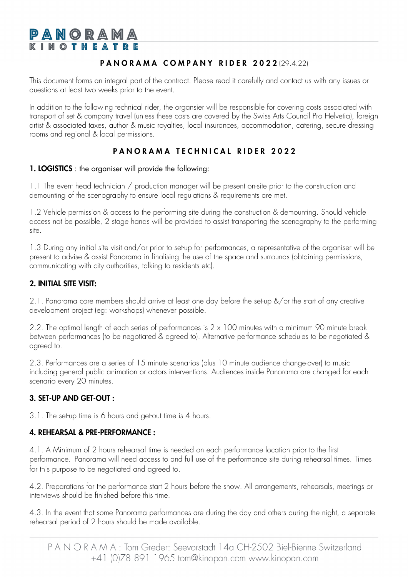# PANORAMA **KINOTHEAT**

## PANORAMA COMPANY RIDER 2022 (29.4.22)

This document forms an integral part of the contract. Please read it carefully and contact us with any issues or questions at least two weeks prior to the event.

In addition to the following technical rider, the organsier will be responsible for covering costs associated with transport of set & company travel (unless these costs are covered by the Swiss Arts Council Pro Helvetia), foreign artist & associated taxes, author & music royalties, local insurances, accommodation, catering, secure dressing rooms and regional & local permissions.

## PANORAMA TECHNICAL RIDER 2022

#### 1. LOGISTICS : the organiser will provide the following:

1.1 The event head technician / production manager will be present on-site prior to the construction and demounting of the scenography to ensure local regulations & requirements are met.

1.2 Vehicle permission & access to the performing site during the construction & demounting. Should vehicle access not be possible, 2 stage hands will be provided to assist transporting the scenography to the performing site.

1.3 During any initial site visit and/or prior to set-up for performances, a representative of the organiser will be present to advise & assist Panorama in finalising the use of the space and surrounds (obtaining permissions, communicating with city authorities, talking to residents etc).

## 2. INITIAL SITE VISIT:

2.1. Panorama core members should arrive at least one day before the set-up &/or the start of any creative development project (eg: workshops) whenever possible.

2.2. The optimal length of each series of performances is 2 x 100 minutes with a minimum 90 minute break between performances (to be negotiated & agreed to). Alternative performance schedules to be negotiated & agreed to.

2.3. Performances are a series of 15 minute scenarios (plus 10 minute audience change-over) to music including general public animation or actors interventions. Audiences inside Panorama are changed for each scenario every 20 minutes.

## 3. SET-UP AND GET-OUT :

3.1. The set-up time is 6 hours and get-out time is 4 hours.

#### 4. REHEARSAL & PRE-PERFORMANCE :

4.1. A Minimum of 2 hours rehearsal time is needed on each performance location prior to the first performance. Panorama will need access to and full use of the performance site during rehearsal times. Times for this purpose to be negotiated and agreed to.

4.2. Preparations for the performance start 2 hours before the show. All arrangements, rehearsals, meetings or interviews should be finished before this time.

4.3. In the event that some Panorama performances are during the day and others during the night, a separate rehearsal period of 2 hours should be made available.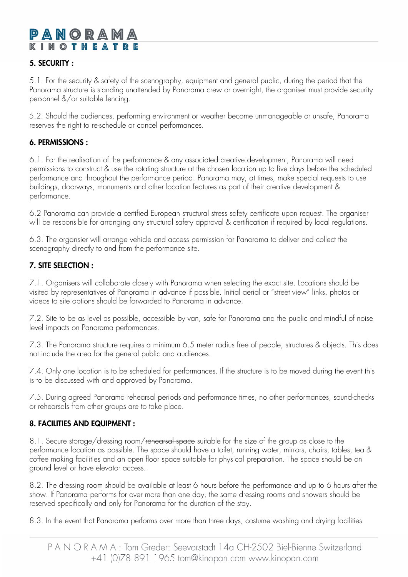# PANORAM IN OTHEAT

## 5. SECURITY :

 5.1. For the security & safety of the scenography, equipment and general public, during the period that the Panorama structure is standing unattended by Panorama crew or overnight, the organiser must provide security personnel &/or suitable fencing.

 5.2. Should the audiences, performing environment or weather become unmanageable or unsafe, Panorama reserves the right to re-schedule or cancel performances.

#### 6. PERMISSIONS :

6.1. For the realisation of the performance & any associated creative development, Panorama will need permissions to construct & use the rotating structure at the chosen location up to five days before the scheduled performance and throughout the performance period. Panorama may, at times, make special requests to use buildings, doorways, monuments and other location features as part of their creative development & performance.

6.2 Panorama can provide a certified European structural stress safety certificate upon request. The organiser will be responsible for arranging any structural safety approval & certification if required by local regulations.

6.3. The organsier will arrange vehicle and access permission for Panorama to deliver and collect the scenography directly to and from the performance site.

#### 7. SITE SELECTION :

7.1. Organisers will collaborate closely with Panorama when selecting the exact site. Locations should be visited by representatives of Panorama in advance if possible. Initial aerial or "street view" links, photos or videos to site options should be forwarded to Panorama in advance.

7.2. Site to be as level as possible, accessible by van, safe for Panorama and the public and mindful of noise level impacts on Panorama performances.

7.3. The Panorama structure requires a minimum 6.5 meter radius free of people, structures & objects. This does not include the area for the general public and audiences.

7.4. Only one location is to be scheduled for performances. If the structure is to be moved during the event this is to be discussed with and approved by Panorama.

7.5. During agreed Panorama rehearsal periods and performance times, no other performances, sound-checks or rehearsals from other groups are to take place.

#### 8. FACILITIES AND EQUIPMENT :

8.1. Secure storage/dressing room/rehearsal space suitable for the size of the group as close to the performance location as possible. The space should have a toilet, running water, mirrors, chairs, tables, tea & coffee making facilities and an open floor space suitable for physical preparation. The space should be on ground level or have elevator access.

8.2. The dressing room should be available at least 6 hours before the performance and up to 6 hours after the show. If Panorama performs for over more than one day, the same dressing rooms and showers should be reserved specifically and only for Panorama for the duration of the stay.

8.3. In the event that Panorama performs over more than three days, costume washing and drying facilities